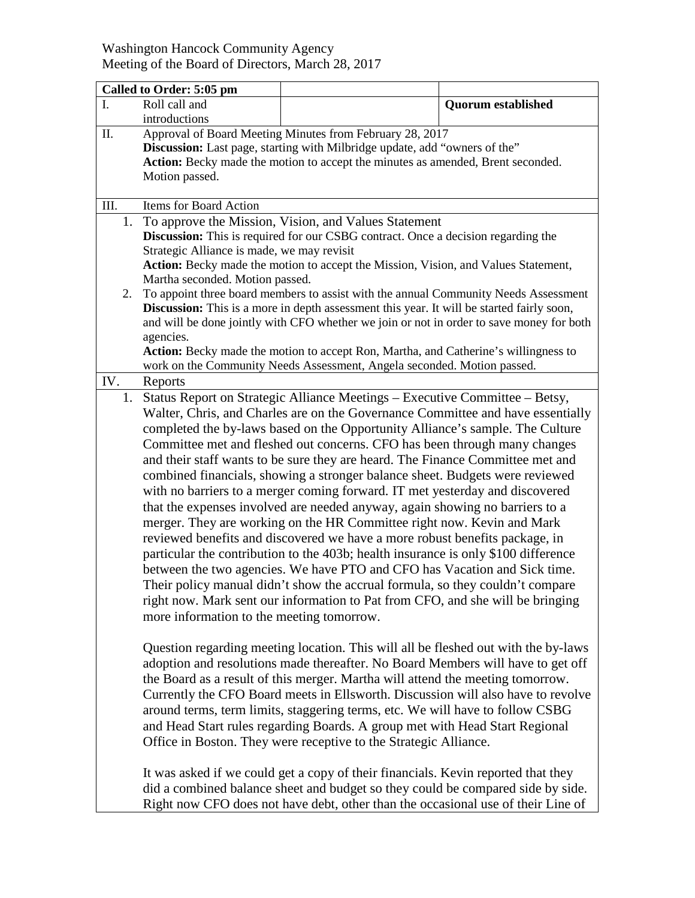## Washington Hancock Community Agency Meeting of the Board of Directors, March 28, 2017

|          | Called to Order: 5:05 pm                                                                                                                                                                                                                                                                                                                                                                                                                                                                                                                                                                                                                                                                                                                                                                                                                                                                                                                                                                                                                                                                                                                                                                                   |                                                                                                                                                                                                                                                                                                                                                                                                                                                                                                                                                                                                                                                                                                                                                                                                                                             |                           |
|----------|------------------------------------------------------------------------------------------------------------------------------------------------------------------------------------------------------------------------------------------------------------------------------------------------------------------------------------------------------------------------------------------------------------------------------------------------------------------------------------------------------------------------------------------------------------------------------------------------------------------------------------------------------------------------------------------------------------------------------------------------------------------------------------------------------------------------------------------------------------------------------------------------------------------------------------------------------------------------------------------------------------------------------------------------------------------------------------------------------------------------------------------------------------------------------------------------------------|---------------------------------------------------------------------------------------------------------------------------------------------------------------------------------------------------------------------------------------------------------------------------------------------------------------------------------------------------------------------------------------------------------------------------------------------------------------------------------------------------------------------------------------------------------------------------------------------------------------------------------------------------------------------------------------------------------------------------------------------------------------------------------------------------------------------------------------------|---------------------------|
| I.       | Roll call and                                                                                                                                                                                                                                                                                                                                                                                                                                                                                                                                                                                                                                                                                                                                                                                                                                                                                                                                                                                                                                                                                                                                                                                              |                                                                                                                                                                                                                                                                                                                                                                                                                                                                                                                                                                                                                                                                                                                                                                                                                                             | <b>Quorum established</b> |
|          | introductions                                                                                                                                                                                                                                                                                                                                                                                                                                                                                                                                                                                                                                                                                                                                                                                                                                                                                                                                                                                                                                                                                                                                                                                              |                                                                                                                                                                                                                                                                                                                                                                                                                                                                                                                                                                                                                                                                                                                                                                                                                                             |                           |
| Π.       | Approval of Board Meeting Minutes from February 28, 2017<br>Discussion: Last page, starting with Milbridge update, add "owners of the"<br>Action: Becky made the motion to accept the minutes as amended, Brent seconded.<br>Motion passed.                                                                                                                                                                                                                                                                                                                                                                                                                                                                                                                                                                                                                                                                                                                                                                                                                                                                                                                                                                |                                                                                                                                                                                                                                                                                                                                                                                                                                                                                                                                                                                                                                                                                                                                                                                                                                             |                           |
| III.     | Items for Board Action                                                                                                                                                                                                                                                                                                                                                                                                                                                                                                                                                                                                                                                                                                                                                                                                                                                                                                                                                                                                                                                                                                                                                                                     |                                                                                                                                                                                                                                                                                                                                                                                                                                                                                                                                                                                                                                                                                                                                                                                                                                             |                           |
| 1.<br>2. | To approve the Mission, Vision, and Values Statement<br><b>Discussion:</b> This is required for our CSBG contract. Once a decision regarding the<br>Strategic Alliance is made, we may revisit<br>Action: Becky made the motion to accept the Mission, Vision, and Values Statement,<br>Martha seconded. Motion passed.<br>To appoint three board members to assist with the annual Community Needs Assessment                                                                                                                                                                                                                                                                                                                                                                                                                                                                                                                                                                                                                                                                                                                                                                                             |                                                                                                                                                                                                                                                                                                                                                                                                                                                                                                                                                                                                                                                                                                                                                                                                                                             |                           |
|          | Discussion: This is a more in depth assessment this year. It will be started fairly soon,<br>and will be done jointly with CFO whether we join or not in order to save money for both<br>agencies.<br>Action: Becky made the motion to accept Ron, Martha, and Catherine's willingness to<br>work on the Community Needs Assessment, Angela seconded. Motion passed.                                                                                                                                                                                                                                                                                                                                                                                                                                                                                                                                                                                                                                                                                                                                                                                                                                       |                                                                                                                                                                                                                                                                                                                                                                                                                                                                                                                                                                                                                                                                                                                                                                                                                                             |                           |
| IV.      | Reports                                                                                                                                                                                                                                                                                                                                                                                                                                                                                                                                                                                                                                                                                                                                                                                                                                                                                                                                                                                                                                                                                                                                                                                                    |                                                                                                                                                                                                                                                                                                                                                                                                                                                                                                                                                                                                                                                                                                                                                                                                                                             |                           |
| 1.       | Status Report on Strategic Alliance Meetings - Executive Committee - Betsy,<br>Walter, Chris, and Charles are on the Governance Committee and have essentially<br>completed the by-laws based on the Opportunity Alliance's sample. The Culture<br>Committee met and fleshed out concerns. CFO has been through many changes<br>and their staff wants to be sure they are heard. The Finance Committee met and<br>combined financials, showing a stronger balance sheet. Budgets were reviewed<br>with no barriers to a merger coming forward. IT met yesterday and discovered<br>that the expenses involved are needed anyway, again showing no barriers to a<br>merger. They are working on the HR Committee right now. Kevin and Mark<br>reviewed benefits and discovered we have a more robust benefits package, in<br>particular the contribution to the 403b; health insurance is only \$100 difference<br>between the two agencies. We have PTO and CFO has Vacation and Sick time.<br>Their policy manual didn't show the accrual formula, so they couldn't compare<br>right now. Mark sent our information to Pat from CFO, and she will be bringing<br>more information to the meeting tomorrow. |                                                                                                                                                                                                                                                                                                                                                                                                                                                                                                                                                                                                                                                                                                                                                                                                                                             |                           |
|          |                                                                                                                                                                                                                                                                                                                                                                                                                                                                                                                                                                                                                                                                                                                                                                                                                                                                                                                                                                                                                                                                                                                                                                                                            | Question regarding meeting location. This will all be fleshed out with the by-laws<br>adoption and resolutions made thereafter. No Board Members will have to get off<br>the Board as a result of this merger. Martha will attend the meeting tomorrow.<br>Currently the CFO Board meets in Ellsworth. Discussion will also have to revolve<br>around terms, term limits, staggering terms, etc. We will have to follow CSBG<br>and Head Start rules regarding Boards. A group met with Head Start Regional<br>Office in Boston. They were receptive to the Strategic Alliance.<br>It was asked if we could get a copy of their financials. Kevin reported that they<br>did a combined balance sheet and budget so they could be compared side by side.<br>Right now CFO does not have debt, other than the occasional use of their Line of |                           |